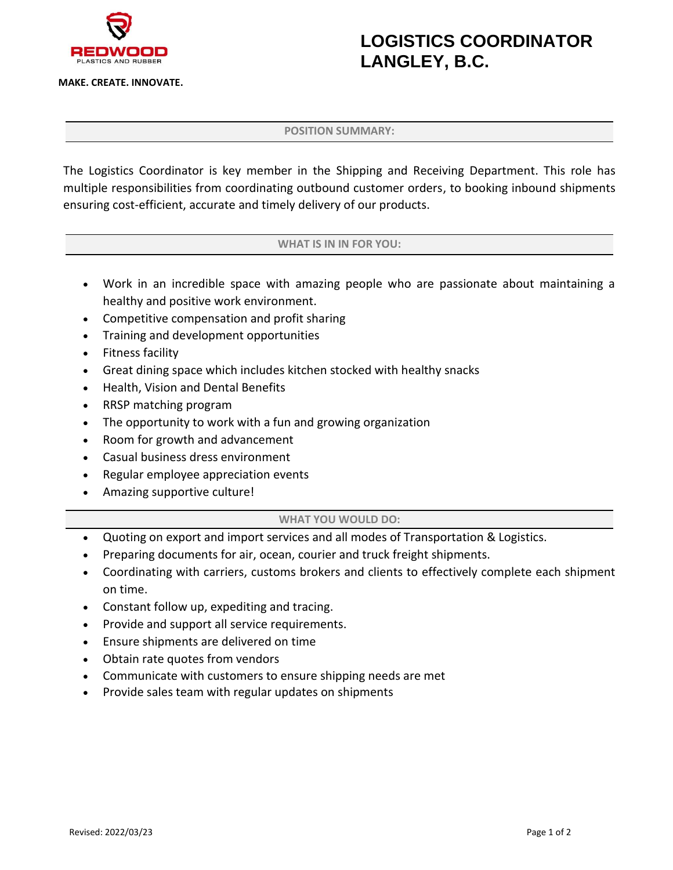

**MAKE. CREATE. INNOVATE.**

# **LOGISTICS COORDINATOR LANGLEY, B.C.**

### **POSITION SUMMARY:**

The Logistics Coordinator is key member in the Shipping and Receiving Department. This role has multiple responsibilities from coordinating outbound customer orders, to booking inbound shipments ensuring cost-efficient, accurate and timely delivery of our products.

### **WHAT IS IN IN FOR YOU:**

- Work in an incredible space with amazing people who are passionate about maintaining a healthy and positive work environment.
- Competitive compensation and profit sharing
- Training and development opportunities
- Fitness facility
- Great dining space which includes kitchen stocked with healthy snacks
- Health, Vision and Dental Benefits
- RRSP matching program
- The opportunity to work with a fun and growing organization
- Room for growth and advancement
- Casual business dress environment
- Regular employee appreciation events
- Amazing supportive culture!

#### **WHAT YOU WOULD DO:**

- Quoting on export and import services and all modes of Transportation & Logistics.
- Preparing documents for air, ocean, courier and truck freight shipments.
- Coordinating with carriers, customs brokers and clients to effectively complete each shipment on time.
- Constant follow up, expediting and tracing.
- Provide and support all service requirements.
- Ensure shipments are delivered on time
- Obtain rate quotes from vendors
- Communicate with customers to ensure shipping needs are met
- Provide sales team with regular updates on shipments